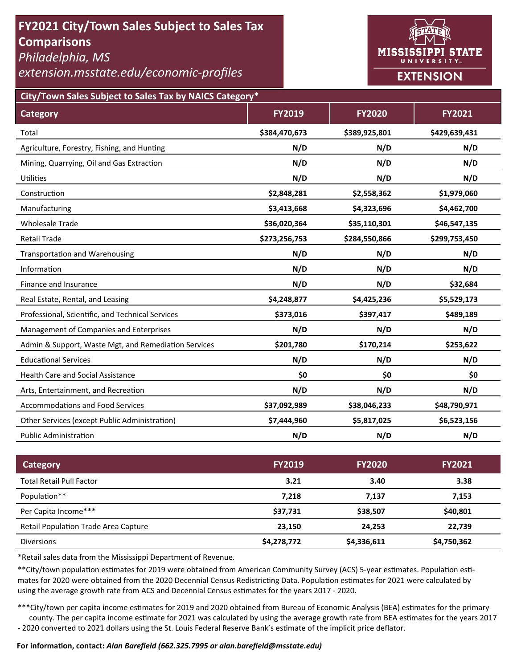# **FY2021 City/Town Sales Subject to Sales Tax Comparisons**

*Philadelphia, MS* 

*extension.msstate.edu/economic‐profiles* 



**City/Town Sales Subject to Sales Tax by NAICS Category\***

| <b>Category</b>                                      | <b>FY2019</b> | <b>FY2020</b> | <b>FY2021</b> |
|------------------------------------------------------|---------------|---------------|---------------|
| Total                                                | \$384,470,673 | \$389,925,801 | \$429,639,431 |
| Agriculture, Forestry, Fishing, and Hunting          | N/D           | N/D           | N/D           |
| Mining, Quarrying, Oil and Gas Extraction            | N/D           | N/D           | N/D           |
| <b>Utilities</b>                                     | N/D           | N/D           | N/D           |
| Construction                                         | \$2,848,281   | \$2,558,362   | \$1,979,060   |
| Manufacturing                                        | \$3,413,668   | \$4,323,696   | \$4,462,700   |
| <b>Wholesale Trade</b>                               | \$36,020,364  | \$35,110,301  | \$46,547,135  |
| <b>Retail Trade</b>                                  | \$273,256,753 | \$284,550,866 | \$299,753,450 |
| <b>Transportation and Warehousing</b>                | N/D           | N/D           | N/D           |
| Information                                          | N/D           | N/D           | N/D           |
| Finance and Insurance                                | N/D           | N/D           | \$32,684      |
| Real Estate, Rental, and Leasing                     | \$4,248,877   | \$4,425,236   | \$5,529,173   |
| Professional, Scientific, and Technical Services     | \$373,016     | \$397,417     | \$489,189     |
| Management of Companies and Enterprises              | N/D           | N/D           | N/D           |
| Admin & Support, Waste Mgt, and Remediation Services | \$201,780     | \$170,214     | \$253,622     |
| <b>Educational Services</b>                          | N/D           | N/D           | N/D           |
| <b>Health Care and Social Assistance</b>             | \$0           | \$0           | \$0           |
| Arts, Entertainment, and Recreation                  | N/D           | N/D           | N/D           |
| <b>Accommodations and Food Services</b>              | \$37,092,989  | \$38,046,233  | \$48,790,971  |
| Other Services (except Public Administration)        | \$7,444,960   | \$5,817,025   | \$6,523,156   |
| <b>Public Administration</b>                         | N/D           | N/D           | N/D           |

| Category                                    | <b>FY2019</b> | <b>FY2020</b> | <b>FY2021</b> |
|---------------------------------------------|---------------|---------------|---------------|
| <b>Total Retail Pull Factor</b>             | 3.21          | 3.40          | 3.38          |
| Population**                                | 7.218         | 7.137         | 7,153         |
| Per Capita Income***                        | \$37,731      | \$38,507      | \$40,801      |
| <b>Retail Population Trade Area Capture</b> | 23,150        | 24.253        | 22,739        |
| <b>Diversions</b>                           | \$4,278,772   | \$4,336,611   | \$4,750,362   |

\*Retail sales data from the Mississippi Department of Revenue*.* 

\*\*City/town population estimates for 2019 were obtained from American Community Survey (ACS) 5-year estimates. Population estimates for 2020 were obtained from the 2020 Decennial Census Redistricting Data. Population estimates for 2021 were calculated by using the average growth rate from ACS and Decennial Census estimates for the years 2017 - 2020.

\*\*\*City/town per capita income estimates for 2019 and 2020 obtained from Bureau of Economic Analysis (BEA) estimates for the primary county. The per capita income estimate for 2021 was calculated by using the average growth rate from BEA estimates for the years 2017 - 2020 converted to 2021 dollars using the St. Louis Federal Reserve Bank's estimate of the implicit price deflator.

### **For informaƟon, contact:** *Alan Barefield (662.325.7995 or alan.barefield@msstate.edu)*